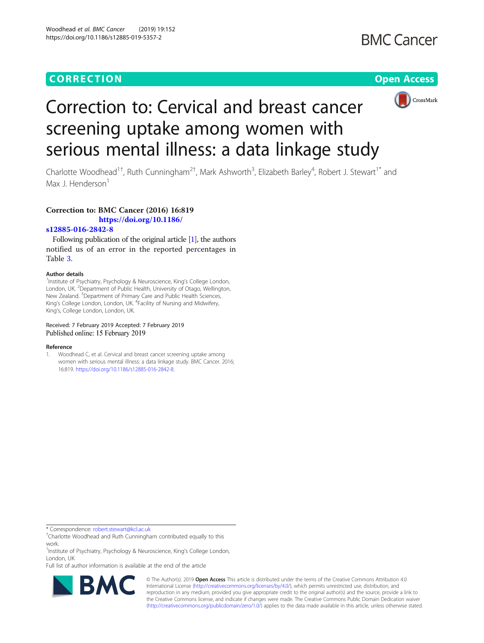## **CORRECTION CORRECTION CORRECTION**



# Correction to: Cervical and breast cancer screening uptake among women with serious mental illness: a data linkage study

Charlotte Woodhead<sup>1†</sup>, Ruth Cunningham<sup>2†</sup>, Mark Ashworth<sup>3</sup>, Elizabeth Barley<sup>4</sup>, Robert J. Stewart<sup>1\*</sup> and Max J. Henderson<sup>1</sup>

### Correction to: BMC Cancer (2016) 16:819

[https://doi.org/10.1186/](https://doi.org/10.1186/s12885-016-2842-8)

#### [s12885-016-2842-8](https://doi.org/10.1186/s12885-016-2842-8)

Following publication of the original article [1], the authors notified us of an error in the reported percentages in Table [3](#page-1-0).

#### Author details

<sup>1</sup>Institute of Psychiatry, Psychology & Neuroscience, King's College London, London, UK. <sup>2</sup>Department of Public Health, University of Otago, Wellington, New Zealand. <sup>3</sup> Department of Primary Care and Public Health Sciences, King's College London, London, UK. <sup>4</sup>Facility of Nursing and Midwifery, King's, College London, London, UK.

#### Received: 7 February 2019 Accepted: 7 February 2019 Published online: 15 February 2019

#### Reference

1. Woodhead C, et al. Cervical and breast cancer screening uptake among women with serious mental illness: a data linkage study. BMC Cancer. 2016; 16:819. [https://doi.org/10.1186/s12885-016-2842-8.](https://doi.org/10.1186/s12885-016-2842-8)

\* Correspondence: [robert.stewart@kcl.ac.uk](mailto:robert.stewart@kcl.ac.uk) †

<sup>1</sup>Institute of Psychiatry, Psychology & Neuroscience, King's College London, London, UK

Full list of author information is available at the end of the article



© The Author(s). 2019 **Open Access** This article is distributed under the terms of the Creative Commons Attribution 4.0 International License [\(http://creativecommons.org/licenses/by/4.0/](http://creativecommons.org/licenses/by/4.0/)), which permits unrestricted use, distribution, and reproduction in any medium, provided you give appropriate credit to the original author(s) and the source, provide a link to the Creative Commons license, and indicate if changes were made. The Creative Commons Public Domain Dedication waiver [\(http://creativecommons.org/publicdomain/zero/1.0/](http://creativecommons.org/publicdomain/zero/1.0/)) applies to the data made available in this article, unless otherwise stated.

Charlotte Woodhead and Ruth Cunningham contributed equally to this work.